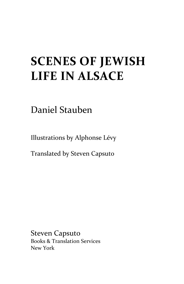## **SCENES OF JEWISH LIFE IN ALSACE**

Daniel Stauben

Illustrations by Alphonse Lévy

Translated by Steven Capsuto

Steven Capsuto Books & Translation Services New York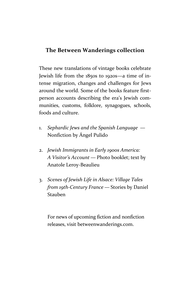## **The Between Wanderings collection**

These new translations of vintage books celebrate Jewish life from the 1850s to 1920s—a time of intense migration, changes and challenges for Jews around the world. Some of the books feature first person accounts describing the era's Jewish communities, customs, folklore, synagogues, schools, foods and culture.

- 1. *Sephardic Jews and the Spanish Language* Nonfiction by Ángel Pulido
- 2. *Jewish Immigrants in Early 1900s America: A Visitor's Account* — Photo booklet; text by Anatole Leroy-Beaulieu
- 3. *Scenes of Jewish Life in Alsace: Village Tales from 19th-Century France* — Stories by Daniel Stauben

For news of upcoming fiction and nonfiction releases, visit betweenwanderings.com.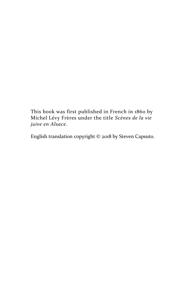This book was first published in French in 1860 by Michel Lévy Frères under the title *Scènes de la vie juive en Alsace*.

English translation copyright © 2018 by Steven Capsuto.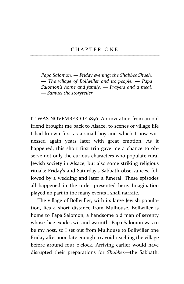*Papa Salomon. — Friday evening; the Shabbes Shueh. — The village of Bollwiller and its people. — Papa Salomon's home and family. — Prayers and a meal. — Samuel the storyteller.*

IT WAS NOVEMBER OF 1856. An invitation from an old friend brought me back to Alsace, to scenes of village life I had known first as a small boy and which I now witnessed again years later with great emotion. As it happened, this short first trip gave me a chance to observe not only the curious characters who populate rural Jewish society in Alsace, but also some striking religious rituals: Friday's and Saturday's Sabbath observances, followed by a wedding and later a funeral. These episodes all happened in the order presented here. Imagination played no part in the many events I shall narrate.

The village of Bollwiller, with its large Jewish population, lies a short distance from Mulhouse. Bollwiller is home to Papa Salomon, a handsome old man of seventy whose face exudes wit and warmth. Papa Salomon was to be my host, so I set out from Mulhouse to Bollwiller one Friday afternoon late enough to avoid reaching the village before around four o'clock. Arriving earlier would have disrupted their preparations for *Shabbes—*the Sabbath.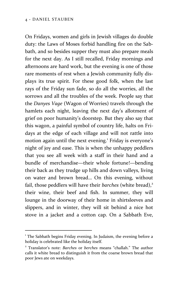On Fridays, women and girls in Jewish villages do double duty: the Laws of Moses forbid handling fire on the Sabbath, and so besides supper they must also prepare meals for the next day. As I still recalled, Friday mornings and afternoons are hard work, but the evening is one of those rare moments of rest when a Jewish community fully displays its true spirit. For these good folk, when the last rays of the Friday sun fade, so do all the worries, all the sorrows and all the troubles of the week. People say that the *Danyes Vage* (Wagon of Worries) travels through the hamlets each night, leaving the next day's allotment of grief on poor humanity's doorstep. But they also say that this wagon, a painful symbol of country life, halts on Fridays at the edge of each village and will not rattle into motion again until the next evening.<sup>1</sup> Friday is everyone's night of joy and ease. This is when the unhappy peddlers that you see all week with a staff in their hand and a bundle of merchandise—their whole fortune!—bending their back as they trudge up hills and down valleys, living on water and brown bread… On this evening, without fail, those peddlers will have their *barches* (white bread),<sup>2</sup> their wine, their beef and fish. In summer, they will lounge in the doorway of their home in shirtsleeves and slippers, and in winter, they will sit behind a nice hot stove in a jacket and a cotton cap. On a Sabbath Eve,

<sup>&</sup>lt;sup>1</sup> The Sabbath begins Friday evening. In Judaism, the evening before a holiday is celebrated like the holiday itself.

<sup>2</sup> Translator's note: *Barches* or *berches* means "challah." The author calls it white bread to distinguish it from the coarse brown bread that poor Jews ate on weekdays.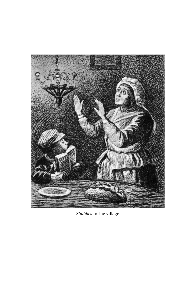

*Shabbes* in the village.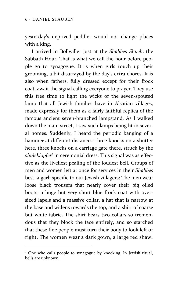yesterday's deprived peddler would not change places with a king.

I arrived in Bollwiller just at the *Shabbes Shueh*: the Sabbath Hour*.* That is what we call the hour before people go to synagogue. It is when girls touch up their grooming, a bit disarrayed by the day's extra chores. It is also when fathers, fully dressed except for their frock coat, await the signal calling everyone to prayer. They use this free time to light the wicks of the seven-spouted lamp that all Jewish families have in Alsatian villages, made expressly for them as a fairly faithful replica of the famous ancient seven-branched lampstand. As I walked down the main street, I saw such lamps being lit in several homes. Suddenly, I heard the periodic banging of a hammer at different distances: three knocks on a shutter here, three knocks on a carriage gate there, struck by the *shuleklopfer*<sup>3</sup> in ceremonial dress. This signal was as effective as the liveliest pealing of the loudest bell. Groups of men and women left at once for services in their *Shabbes* best, a garb specific to our Jewish villagers: The men wear loose black trousers that nearly cover their big oiled boots, a huge but very short blue frock coat with oversized lapels and a massive collar, a hat that is narrow at the base and widens towards the top, and a shirt of coarse but white fabric. The shirt bears two collars so tremendous that they block the face entirely, and so starched that these fine people must turn their body to look left or right. The women wear a dark gown, a large red shawl

<sup>&</sup>lt;sup>3</sup> One who calls people to synagogue by knocking. In Jewish ritual, bells are unknown.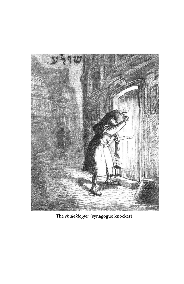

The *shuleklopfer* (synagogue knocker).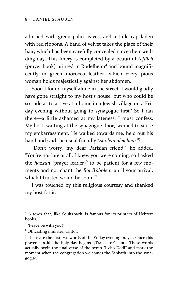adorned with green palm leaves, and a tulle cap laden with red ribbons. A band of velvet takes the place of their hair, which has been carefully concealed since their wedding day. This finery is completed by a beautiful *tefilleh* (prayer book) printed in Rodelheim<sup>4</sup> and bound magnificently in green morocco leather, which every pious woman holds majestically against her abdomen.

Soon I found myself alone in the street. I would gladly have gone straight to my host's house, but who could be so rude as to arrive at a home in a Jewish village on a Friday evening without going to synagogue first? So I ran there—a little ashamed at my lateness, I must confess. My host, waiting at the synagogue door, seemed to sense my embarrassment. He walked towards me, held out his hand and said the usual friendly "*Sholem aleichem*."<sup>5</sup>

"Don't worry, my dear Parisian friend," he added. "You're not late at all. I knew you were coming, so I asked the *hazzan* (prayer leader)<sup>6</sup> to be patient for a few moments and not chant the *Boi B'sholem* until your arrival, which I trusted would be soon."7

I was touched by this religious courtesy and thanked my host for it.

<sup>&</sup>lt;sup>4</sup> A town that, like Soultzbach, is famous for its printers of Hebrew books.

<sup>5</sup> "Peace be with you!"

<sup>6</sup> Officiating minister, cantor.

<sup>7</sup> These are the first two words of the Friday evening prayer. Once this prayer is said, the holy day begins. [Translator's note: These words actually begin the final verse of the hymn "L'cho Dodi" and mark the moment when the congregation welcomes the Sabbath into the syna gogue.]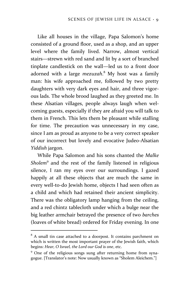Like all houses in the village, Papa Salomon's home consisted of a ground floor, used as a shop, and an upper level where the family lived. Narrow, almost vertical stairs—strewn with red sand and lit by a sort of branched tinplate candlestick on the wall—led us to a front door adorned with a large *mezuzah*.<sup>8</sup> My host was a family man: his wife approached me, followed by two pretty daughters with very dark eyes and hair, and three vigorous lads. The whole brood laughed as they greeted me. In these Alsatian villages, people always laugh when welcoming guests, especially if they are afraid you will talk to them in French. This lets them be pleasant while stalling for time. The precaution was unnecessary in my case, since I am as proud as anyone to be a very correct speaker of our incorrect but lovely and evocative Judeo-Alsatian *Yiddish* jargon.

While Papa Salomon and his sons chanted the *Malke Sholem*<sup>9</sup> and the rest of the family listened in religious silence, I ran my eyes over our surroundings. I gazed happily at all these objects that are much the same in every well-to-do Jewish home, objects I had seen often as a child and which had retained their ancient simplicity. There was the obligatory lamp hanging from the ceiling, and a red chintz tablecloth under which a bulge near the big leather armchair betrayed the presence of two *barches* (loaves of white bread) ordered for Friday evening. In one

 $8$  A small tin case attached to a doorpost. It contains parchment on which is written the most important prayer of the Jewish faith, which begins: *Hear, O Israel, the Lord our God is one*, etc.

<sup>&</sup>lt;sup>9</sup> One of the religious songs sung after returning home from synagogue. [Translator's note: Now usually known as "Sholem Aleichem."]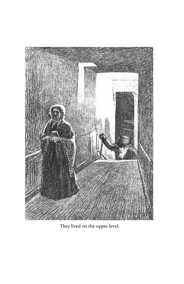

They lived on the upper level.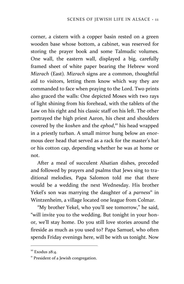corner, a cistern with a copper basin rested on a green wooden base whose bottom, a cabinet, was reserved for storing the prayer book and some Talmudic volumes. One wall, the eastern wall, displayed a big, carefully framed sheet of white paper bearing the Hebrew word *Mizrach* (East)*. Mizrach* signs are a common, thoughtful aid to visitors, letting them know which way they are commanded to face when praying to the Lord. Two prints also graced the walls: One depicted Moses with two rays of light shining from his forehead, with the tablets of the Law on his right and his classic staff on his left. The other portrayed the high priest Aaron, his chest and shoulders covered by the *koshen* and the *ephod*, <sup>10</sup> his head wrapped in a priestly turban. A small mirror hung below an enormous deer head that served as a rack for the master's hat or his cotton cap, depending whether he was at home or not.

After a meal of succulent Alsatian dishes, preceded and followed by prayers and psalms that Jews sing to traditional melodies, Papa Salomon told me that there would be a wedding the next Wednesday. His brother Yekel's son was marrying the daughter of a *parness*<sup>11</sup> in Wintzenheim, a village located one league from Colmar.

"My brother Yekel, who you'll see tomorrow," he said, "will invite you to the wedding. But tonight in your honor, we'll stay home. Do you still love stories around the fireside as much as you used to? Papa Samuel, who often spends Friday evenings here, will be with us tonight. Now

<sup>&</sup>lt;sup>10</sup> Exodus 28:4.

<sup>&</sup>lt;sup>11</sup> President of a Jewish congregation.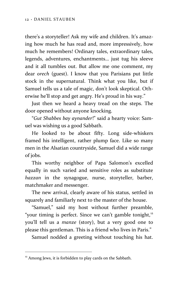there's a storyteller! Ask my wife and children. It's amazing how much he has read and, more impressively, how much he remembers! Ordinary tales, extraordinary tales, legends, adventures, enchantments… just tug his sleeve and it all tumbles out. But allow me one comment, my dear *orech* (guest). I know that you Parisians put little stock in the supernatural. Think what you like, but if Samuel tells us a tale of magic, don't look skeptical. Otherwise he'll stop and get angry. He's proud in his way."

Just then we heard a heavy tread on the steps. The door opened without anyone knocking.

"*Gut Shabbes bay aynander*!" said a hearty voice: Samuel was wishing us a good Sabbath.

He looked to be about fifty. Long side-whiskers framed his intelligent, rather plump face. Like so many men in the Alsatian countryside, Samuel did a wide range of jobs.

This worthy neighbor of Papa Salomon's excelled equally in such varied and sensitive roles as substitute *hazzan* in the synagogue, nurse, storyteller, barber, matchmaker and messenger.

The new arrival, clearly aware of his status, settled in squarely and familiarly next to the master of the house.

"Samuel," said my host without further preamble, "your timing is perfect. Since we can't gamble tonight,<sup>12</sup> you'll tell us a *manze* (story), but a very good one to please this gentleman. This is a friend who lives in Paris."

Samuel nodded a greeting without touching his hat.

 $12$  Among Jews, it is forbidden to play cards on the Sabbath.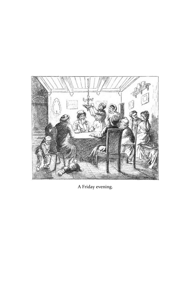

A Friday evening.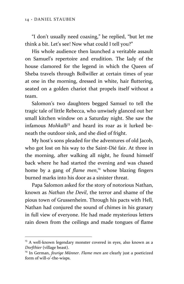"I don't usually need coaxing," he replied, "but let me think a bit. Let's see! Now what could I tell you?"

His whole audience then launched a veritable assault on Samuel's repertoire and erudition. The lady of the house clamored for the legend in which the Queen of Sheba travels through Bollwiller at certain times of year at one in the morning, dressed in white, hair fluttering, seated on a golden chariot that propels itself without a team.

Salomon's two daughters begged Samuel to tell the tragic tale of little Rebecca, who unwisely glanced out her small kitchen window on a Saturday night. She saw the infamous *Mohkalb*<sup>13</sup> and heard its roar as it lurked beneath the outdoor sink, and she died of fright.

My host's sons pleaded for the adventures of old Jacob, who got lost on his way to the Saint-Dié fair. At three in the morning, after walking all night, he found himself back where he had started the evening and was chased home by a gang of *flame men*, <sup>14</sup> whose blazing fingers burned marks into his door as a sinister threat.

Papa Salomon asked for the story of notorious Nathan, known as *Nathan the Devil*, the terror and shame of the pious town of Grussenheim. Through his pacts with Hell, Nathan had conjured the sound of chimes in his granary in full view of everyone. He had made mysterious letters rain down from the ceilings and made tongues of flame

<sup>&</sup>lt;sup>13</sup> A well-known legendary monster covered in eyes, also known as a *Dorfthier* (village beast).

<sup>&</sup>lt;sup>14</sup> In German, *feurige Männer*. *Flame men* are clearly just a poeticized form of will-o'-the-wisps.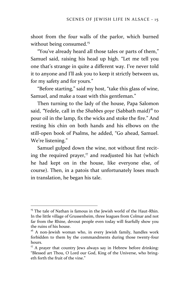shoot from the four walls of the parlor, which burned without being consumed.<sup>15</sup>

"You've already heard all those tales or parts of them," Samuel said, raising his head up high. "Let me tell you one that's strange in quite a different way. I've never told it to anyone and I'll ask you to keep it strictly between us, for my safety and for yours."

"Before starting," said my host, "take this glass of wine, Samuel, and make a toast with this gentleman."

Then turning to the lady of the house, Papa Salomon said, "Yedele, call in the *Shabbes goye* (Sabbath maid)<sup>16</sup> to pour oil in the lamp, fix the wicks and stoke the fire." And resting his chin on both hands and his elbows on the still-open book of Psalms, he added, "Go ahead, Samuel. We're listening."

Samuel gulped down the wine, not without first reciting the required prayer, $\frac{17}{7}$  and readjusted his hat (which he had kept on in the house, like everyone else, of course). Then, in a patois that unfortunately loses much in translation, he began his tale.

<sup>&</sup>lt;sup>15</sup> The tale of Nathan is famous in the Jewish world of the Haut-Rhin. In the little village of Grussenheim, three leagues from Colmar and not far from the Rhine, devout people even today will fearfully show you the ruins of his house.

<sup>&</sup>lt;sup>16</sup> A non-Jewish woman who, in every Jewish family, handles work forbidden to them by the commandments during those twenty-four hours.

 $17$  A prayer that country Jews always say in Hebrew before drinking: "Blessed art Thou, O Lord our God, King of the Universe, who bringeth forth the fruit of the vine."